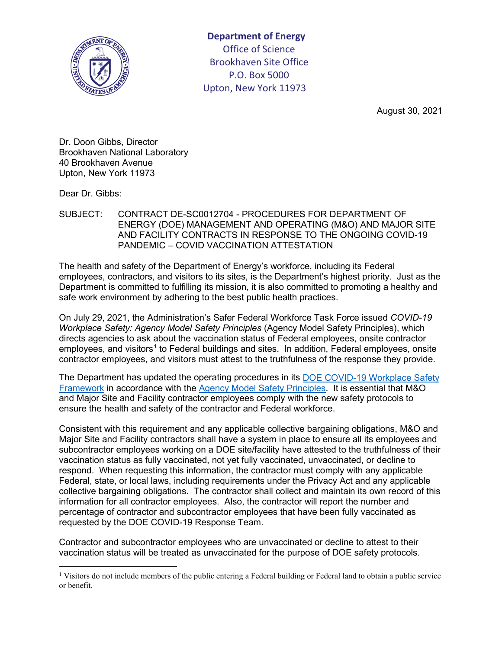

**Department of Energy**  Office of Science Brookhaven Site Office P.O. Box 5000 Upton, New York 11973

August 30, 2021

Dr. Doon Gibbs, Director Brookhaven National Laboratory 40 Brookhaven Avenue Upton, New York 11973

Dear Dr. Gibbs:

SUBJECT: CONTRACT DE-SC0012704 - PROCEDURES FOR DEPARTMENT OF ENERGY (DOE) MANAGEMENT AND OPERATING (M&O) AND MAJOR SITE AND FACILITY CONTRACTS IN RESPONSE TO THE ONGOING COVID-19 PANDEMIC – COVID VACCINATION ATTESTATION

The health and safety of the Department of Energy's workforce, including its Federal employees, contractors, and visitors to its sites, is the Department's highest priority. Just as the Department is committed to fulfilling its mission, it is also committed to promoting a healthy and safe work environment by adhering to the best public health practices.

On July 29, 2021, the Administration's Safer Federal Workforce Task Force issued *COVID-19 Workplace Safety: Agency Model Safety Principles* (Agency Model Safety Principles), which directs agencies to ask about the vaccination status of Federal employees, onsite contractor employees, and visitors<sup>1</sup> to Federal buildings and sites. In addition, Federal employees, onsite contractor employees, and visitors must attest to the truthfulness of the response they provide.

The Department has updated the operating procedures in its [DOE COVID-19 Workplace Safety](https://www.energy.gov/covid/doe-safety-strategy)  [Framework](https://www.energy.gov/covid/doe-safety-strategy) in accordance with the [Agency Model Safety Principles.](https://www.saferfederalworkforce.gov/downloads/revised%20COVID19_Safe%20Federal%20Workplace_Agency%20Model%20Safety%20Principles_20210728.pdf) It is essential that M&O and Major Site and Facility contractor employees comply with the new safety protocols to ensure the health and safety of the contractor and Federal workforce.

Consistent with this requirement and any applicable collective bargaining obligations, M&O and Major Site and Facility contractors shall have a system in place to ensure all its employees and subcontractor employees working on a DOE site/facility have attested to the truthfulness of their vaccination status as fully vaccinated, not yet fully vaccinated, unvaccinated, or decline to respond. When requesting this information, the contractor must comply with any applicable Federal, state, or local laws, including requirements under the Privacy Act and any applicable collective bargaining obligations. The contractor shall collect and maintain its own record of this information for all contractor employees. Also, the contractor will report the number and percentage of contractor and subcontractor employees that have been fully vaccinated as requested by the DOE COVID-19 Response Team.

Contractor and subcontractor employees who are unvaccinated or decline to attest to their vaccination status will be treated as unvaccinated for the purpose of DOE safety protocols.

<span id="page-0-0"></span><sup>&</sup>lt;sup>1</sup> Visitors do not include members of the public entering a Federal building or Federal land to obtain a public service or benefit.